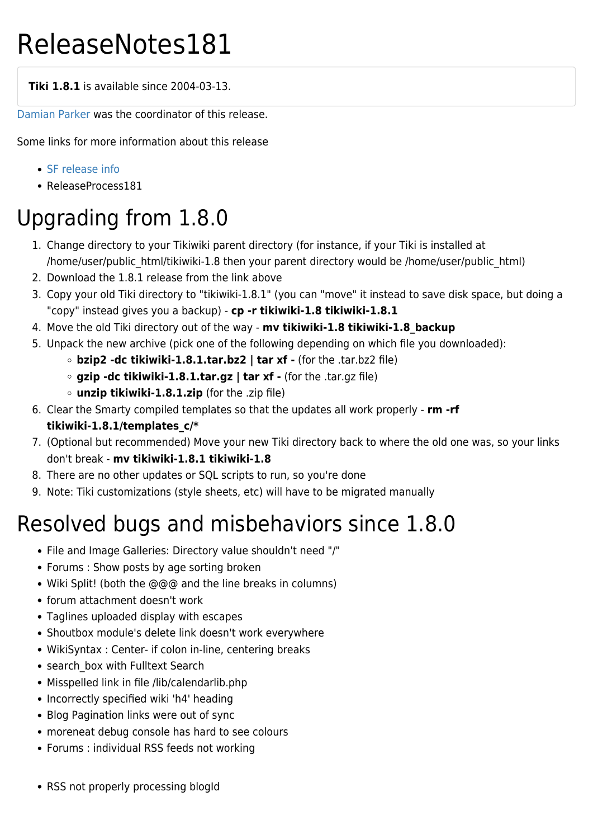# ReleaseNotes181

**Tiki 1.8.1** is available since 2004-03-13.

[Damian Parker](https://tiki.org/UserPageDamian) was the coordinator of this release.

Some links for more information about this release

- [SF release info](http://sourceforge.net/project/showfiles.php?group_id=64258&package_id=112133&release_id=223480)
- ReleaseProcess181

### Upgrading from 1.8.0

- 1. Change directory to your Tikiwiki parent directory (for instance, if your Tiki is installed at /home/user/public\_html/tikiwiki-1.8 then your parent directory would be /home/user/public\_html)
- 2. Download the 1.8.1 release from the link above
- 3. Copy your old Tiki directory to "tikiwiki-1.8.1" (you can "move" it instead to save disk space, but doing a "copy" instead gives you a backup) - **cp -r tikiwiki-1.8 tikiwiki-1.8.1**
- 4. Move the old Tiki directory out of the way **mv tikiwiki-1.8 tikiwiki-1.8\_backup**
- 5. Unpack the new archive (pick one of the following depending on which file you downloaded):
	- **bzip2 -dc tikiwiki-1.8.1.tar.bz2 | tar xf -** (for the .tar.bz2 file)
	- **gzip -dc tikiwiki-1.8.1.tar.gz | tar xf -** (for the .tar.gz file)
	- **unzip tikiwiki-1.8.1.zip** (for the .zip file)
- 6. Clear the Smarty compiled templates so that the updates all work properly **rm -rf tikiwiki-1.8.1/templates\_c/\***
- 7. (Optional but recommended) Move your new Tiki directory back to where the old one was, so your links don't break - **mv tikiwiki-1.8.1 tikiwiki-1.8**
- 8. There are no other updates or SQL scripts to run, so you're done
- 9. Note: Tiki customizations (style sheets, etc) will have to be migrated manually

## Resolved bugs and misbehaviors since 1.8.0

- File and Image Galleries: Directory value shouldn't need "/"
- Forums : Show posts by age sorting broken
- Wiki Split! (both the @@@ and the line breaks in columns)
- forum attachment doesn't work
- Taglines uploaded display with escapes
- Shoutbox module's delete link doesn't work everywhere
- WikiSyntax : Center- if colon in-line, centering breaks
- search box with Fulltext Search
- Misspelled link in file /lib/calendarlib.php
- Incorrectly specified wiki 'h4' heading
- Blog Pagination links were out of sync
- moreneat debug console has hard to see colours
- Forums : individual RSS feeds not working
- RSS not properly processing blogId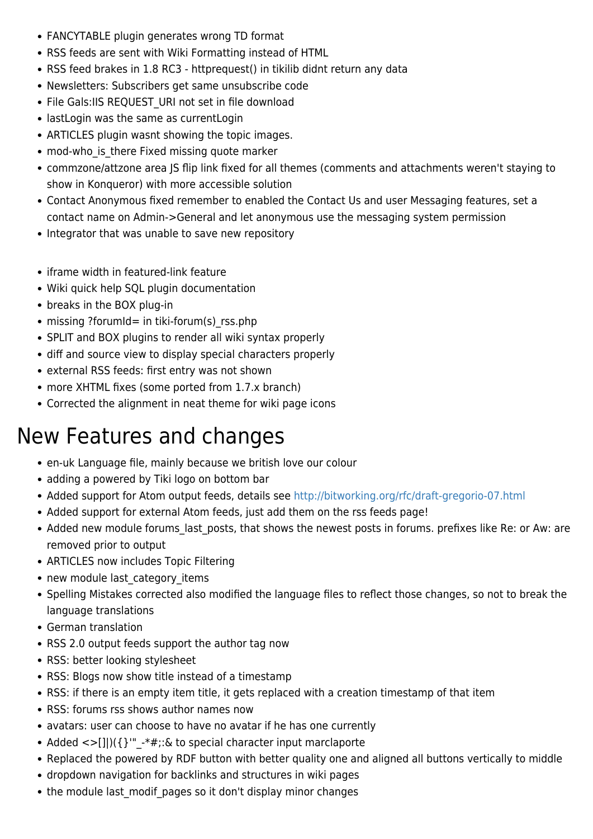- FANCYTABLE plugin generates wrong TD format
- RSS feeds are sent with Wiki Formatting instead of HTML
- RSS feed brakes in 1.8 RC3 httprequest() in tikilib didnt return any data
- Newsletters: Subscribers get same unsubscribe code
- File Gals:IIS REQUEST URI not set in file download
- lastLogin was the same as currentLogin
- ARTICLES plugin wasnt showing the topic images.
- mod-who is there Fixed missing quote marker
- commzone/attzone area JS flip link fixed for all themes (comments and attachments weren't staying to show in Konqueror) with more accessible solution
- Contact Anonymous fixed remember to enabled the Contact Us and user Messaging features, set a contact name on Admin->General and let anonymous use the messaging system permission
- Integrator that was unable to save new repository
- iframe width in featured-link feature
- Wiki quick help SQL plugin documentation
- breaks in the BOX plug-in
- missing ?forumId= in tiki-forum(s) rss.php
- SPLIT and BOX plugins to render all wiki syntax properly
- diff and source view to display special characters properly
- external RSS feeds: first entry was not shown
- more XHTML fixes (some ported from 1.7.x branch)
- Corrected the alignment in neat theme for wiki page icons

#### New Features and changes

- en-uk Language file, mainly because we british love our colour
- adding a powered by Tiki logo on bottom bar
- Added support for Atom output feeds, details see<http://bitworking.org/rfc/draft-gregorio-07.html>
- Added support for external Atom feeds, just add them on the rss feeds page!
- Added new module forums last posts, that shows the newest posts in forums. prefixes like Re: or Aw: are removed prior to output
- ARTICLES now includes Topic Filtering
- new module last category items
- Spelling Mistakes corrected also modified the language files to reflect those changes, so not to break the language translations
- German translation
- RSS 2.0 output feeds support the author tag now
- RSS: better looking stylesheet
- RSS: Blogs now show title instead of a timestamp
- RSS: if there is an empty item title, it gets replaced with a creation timestamp of that item
- RSS: forums rss shows author names now
- avatars: user can choose to have no avatar if he has one currently
- Added  $\langle \rangle$ []])({}'" -\*#;:& to special character input marclaporte
- Replaced the powered by RDF button with better quality one and aligned all buttons vertically to middle
- dropdown navigation for backlinks and structures in wiki pages
- the module last modif pages so it don't display minor changes